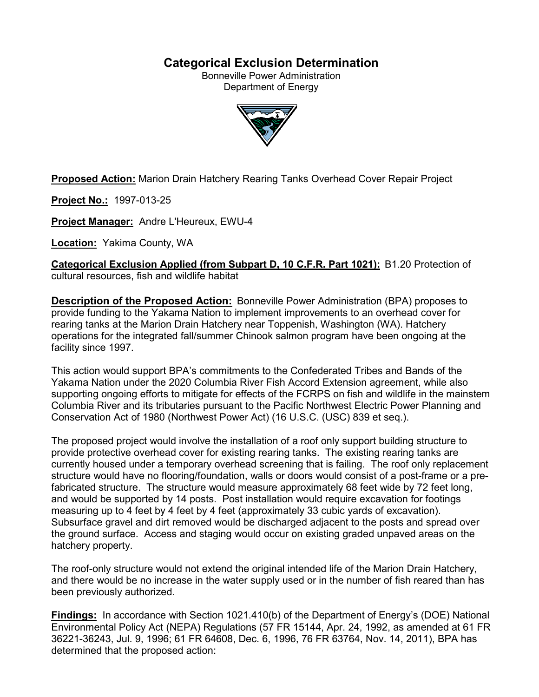# **Categorical Exclusion Determination**

Bonneville Power Administration Department of Energy



**Proposed Action:** Marion Drain Hatchery Rearing Tanks Overhead Cover Repair Project

**Project No.:** 1997-013-25

**Project Manager:** Andre L'Heureux, EWU-4

**Location:** Yakima County, WA

**Categorical Exclusion Applied (from Subpart D, 10 C.F.R. Part 1021):** B1.20 Protection of cultural resources, fish and wildlife habitat

**Description of the Proposed Action:** Bonneville Power Administration (BPA) proposes to provide funding to the Yakama Nation to implement improvements to an overhead cover for rearing tanks at the Marion Drain Hatchery near Toppenish, Washington (WA). Hatchery operations for the integrated fall/summer Chinook salmon program have been ongoing at the facility since 1997.

This action would support BPA's commitments to the Confederated Tribes and Bands of the Yakama Nation under the 2020 Columbia River Fish Accord Extension agreement, while also supporting ongoing efforts to mitigate for effects of the FCRPS on fish and wildlife in the mainstem Columbia River and its tributaries pursuant to the Pacific Northwest Electric Power Planning and Conservation Act of 1980 (Northwest Power Act) (16 U.S.C. (USC) 839 et seq.).

The proposed project would involve the installation of a roof only support building structure to provide protective overhead cover for existing rearing tanks. The existing rearing tanks are currently housed under a temporary overhead screening that is failing. The roof only replacement structure would have no flooring/foundation, walls or doors would consist of a post-frame or a prefabricated structure. The structure would measure approximately 68 feet wide by 72 feet long, and would be supported by 14 posts. Post installation would require excavation for footings measuring up to 4 feet by 4 feet by 4 feet (approximately 33 cubic yards of excavation). Subsurface gravel and dirt removed would be discharged adjacent to the posts and spread over the ground surface. Access and staging would occur on existing graded unpaved areas on the hatchery property.

The roof-only structure would not extend the original intended life of the Marion Drain Hatchery, and there would be no increase in the water supply used or in the number of fish reared than has been previously authorized.

**Findings:** In accordance with Section 1021.410(b) of the Department of Energy's (DOE) National Environmental Policy Act (NEPA) Regulations (57 FR 15144, Apr. 24, 1992, as amended at 61 FR 36221-36243, Jul. 9, 1996; 61 FR 64608, Dec. 6, 1996, 76 FR 63764, Nov. 14, 2011), BPA has determined that the proposed action: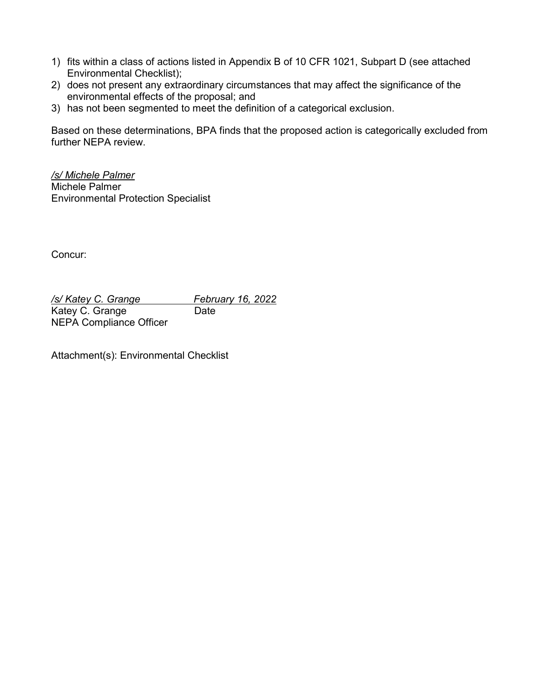- 1) fits within a class of actions listed in Appendix B of 10 CFR 1021, Subpart D (see attached Environmental Checklist);
- 2) does not present any extraordinary circumstances that may affect the significance of the environmental effects of the proposal; and
- 3) has not been segmented to meet the definition of a categorical exclusion.

Based on these determinations, BPA finds that the proposed action is categorically excluded from further NEPA review.

*/s/ Michele Palmer* Michele Palmer Environmental Protection Specialist

Concur:

*/s/ Katey C. Grange February 16, 2022* Katey C. Grange Date NEPA Compliance Officer

Attachment(s): Environmental Checklist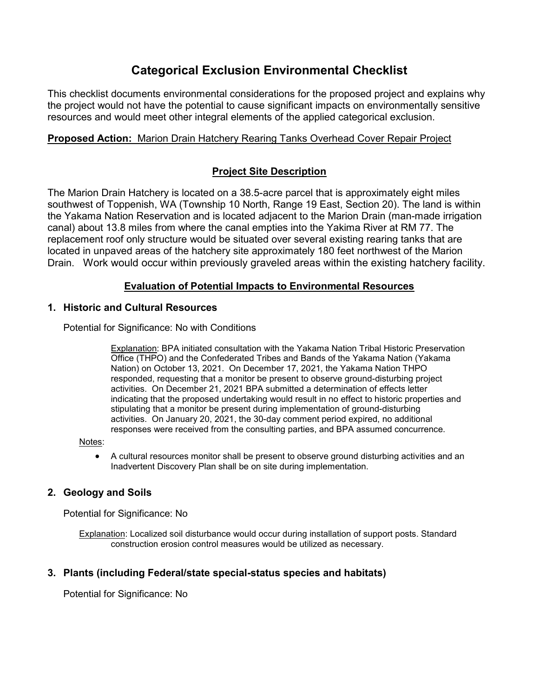# **Categorical Exclusion Environmental Checklist**

This checklist documents environmental considerations for the proposed project and explains why the project would not have the potential to cause significant impacts on environmentally sensitive resources and would meet other integral elements of the applied categorical exclusion.

## **Proposed Action:** Marion Drain Hatchery Rearing Tanks Overhead Cover Repair Project

# **Project Site Description**

The Marion Drain Hatchery is located on a 38.5-acre parcel that is approximately eight miles southwest of Toppenish, WA (Township 10 North, Range 19 East, Section 20). The land is within the Yakama Nation Reservation and is located adjacent to the Marion Drain (man-made irrigation canal) about 13.8 miles from where the canal empties into the Yakima River at RM 77. The replacement roof only structure would be situated over several existing rearing tanks that are located in unpaved areas of the hatchery site approximately 180 feet northwest of the Marion Drain. Work would occur within previously graveled areas within the existing hatchery facility.

# **Evaluation of Potential Impacts to Environmental Resources**

### **1. Historic and Cultural Resources**

Potential for Significance: No with Conditions

Explanation: BPA initiated consultation with the Yakama Nation Tribal Historic Preservation Office (THPO) and the Confederated Tribes and Bands of the Yakama Nation (Yakama Nation) on October 13, 2021. On December 17, 2021, the Yakama Nation THPO responded, requesting that a monitor be present to observe ground-disturbing project activities. On December 21, 2021 BPA submitted a determination of effects letter indicating that the proposed undertaking would result in no effect to historic properties and stipulating that a monitor be present during implementation of ground-disturbing activities. On January 20, 2021, the 30-day comment period expired, no additional responses were received from the consulting parties, and BPA assumed concurrence.

Notes:

• A cultural resources monitor shall be present to observe ground disturbing activities and an Inadvertent Discovery Plan shall be on site during implementation.

### **2. Geology and Soils**

Potential for Significance: No

Explanation: Localized soil disturbance would occur during installation of support posts. Standard construction erosion control measures would be utilized as necessary.

### **3. Plants (including Federal/state special-status species and habitats)**

Potential for Significance: No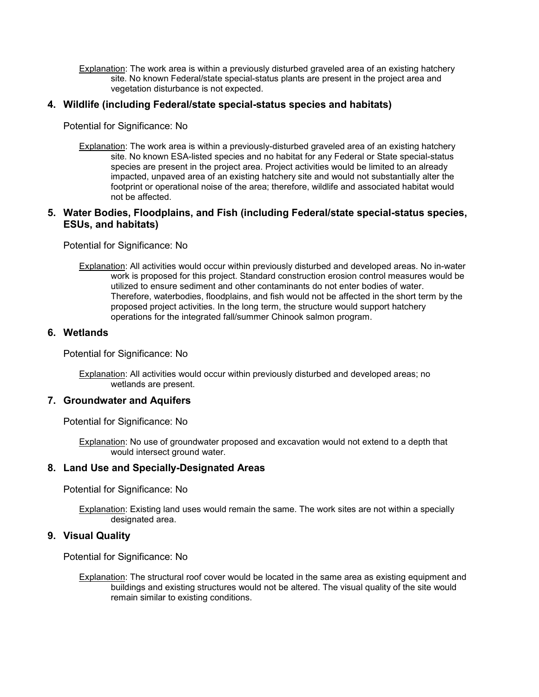Explanation: The work area is within a previously disturbed graveled area of an existing hatchery site. No known Federal/state special-status plants are present in the project area and vegetation disturbance is not expected.

### **4. Wildlife (including Federal/state special-status species and habitats)**

Potential for Significance: No

Explanation: The work area is within a previously-disturbed graveled area of an existing hatchery site. No known ESA-listed species and no habitat for any Federal or State special-status species are present in the project area. Project activities would be limited to an already impacted, unpaved area of an existing hatchery site and would not substantially alter the footprint or operational noise of the area; therefore, wildlife and associated habitat would not be affected.

### **5. Water Bodies, Floodplains, and Fish (including Federal/state special-status species, ESUs, and habitats)**

Potential for Significance: No

Explanation: All activities would occur within previously disturbed and developed areas. No in-water work is proposed for this project. Standard construction erosion control measures would be utilized to ensure sediment and other contaminants do not enter bodies of water. Therefore, waterbodies, floodplains, and fish would not be affected in the short term by the proposed project activities. In the long term, the structure would support hatchery operations for the integrated fall/summer Chinook salmon program.

### **6. Wetlands**

Potential for Significance: No

Explanation: All activities would occur within previously disturbed and developed areas; no wetlands are present.

#### **7. Groundwater and Aquifers**

Potential for Significance: No

Explanation: No use of groundwater proposed and excavation would not extend to a depth that would intersect ground water.

### **8. Land Use and Specially-Designated Areas**

Potential for Significance: No

Explanation: Existing land uses would remain the same. The work sites are not within a specially designated area.

#### **9. Visual Quality**

Potential for Significance: No

Explanation: The structural roof cover would be located in the same area as existing equipment and buildings and existing structures would not be altered. The visual quality of the site would remain similar to existing conditions.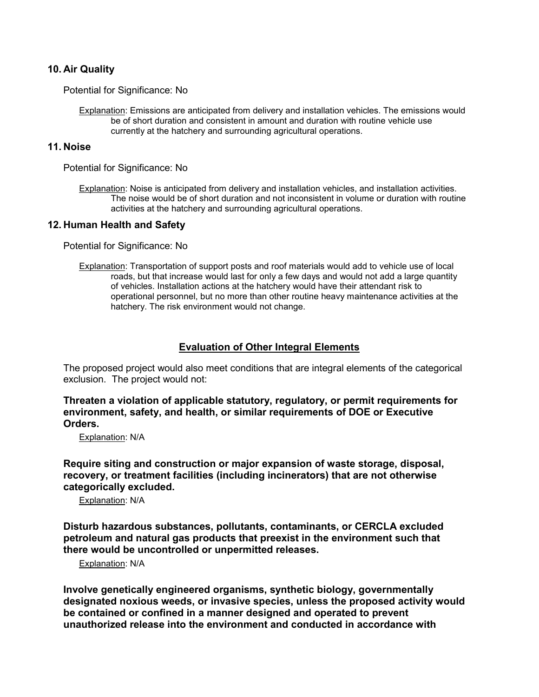### **10. Air Quality**

Potential for Significance: No

Explanation: Emissions are anticipated from delivery and installation vehicles. The emissions would be of short duration and consistent in amount and duration with routine vehicle use currently at the hatchery and surrounding agricultural operations.

#### **11. Noise**

Potential for Significance: No

Explanation: Noise is anticipated from delivery and installation vehicles, and installation activities. The noise would be of short duration and not inconsistent in volume or duration with routine activities at the hatchery and surrounding agricultural operations.

### **12. Human Health and Safety**

Potential for Significance: No

Explanation: Transportation of support posts and roof materials would add to vehicle use of local roads, but that increase would last for only a few days and would not add a large quantity of vehicles. Installation actions at the hatchery would have their attendant risk to operational personnel, but no more than other routine heavy maintenance activities at the hatchery. The risk environment would not change.

### **Evaluation of Other Integral Elements**

The proposed project would also meet conditions that are integral elements of the categorical exclusion. The project would not:

**Threaten a violation of applicable statutory, regulatory, or permit requirements for environment, safety, and health, or similar requirements of DOE or Executive Orders.**

Explanation: N/A

**Require siting and construction or major expansion of waste storage, disposal, recovery, or treatment facilities (including incinerators) that are not otherwise categorically excluded.**

Explanation: N/A

**Disturb hazardous substances, pollutants, contaminants, or CERCLA excluded petroleum and natural gas products that preexist in the environment such that there would be uncontrolled or unpermitted releases.**

Explanation: N/A

**Involve genetically engineered organisms, synthetic biology, governmentally designated noxious weeds, or invasive species, unless the proposed activity would be contained or confined in a manner designed and operated to prevent unauthorized release into the environment and conducted in accordance with**